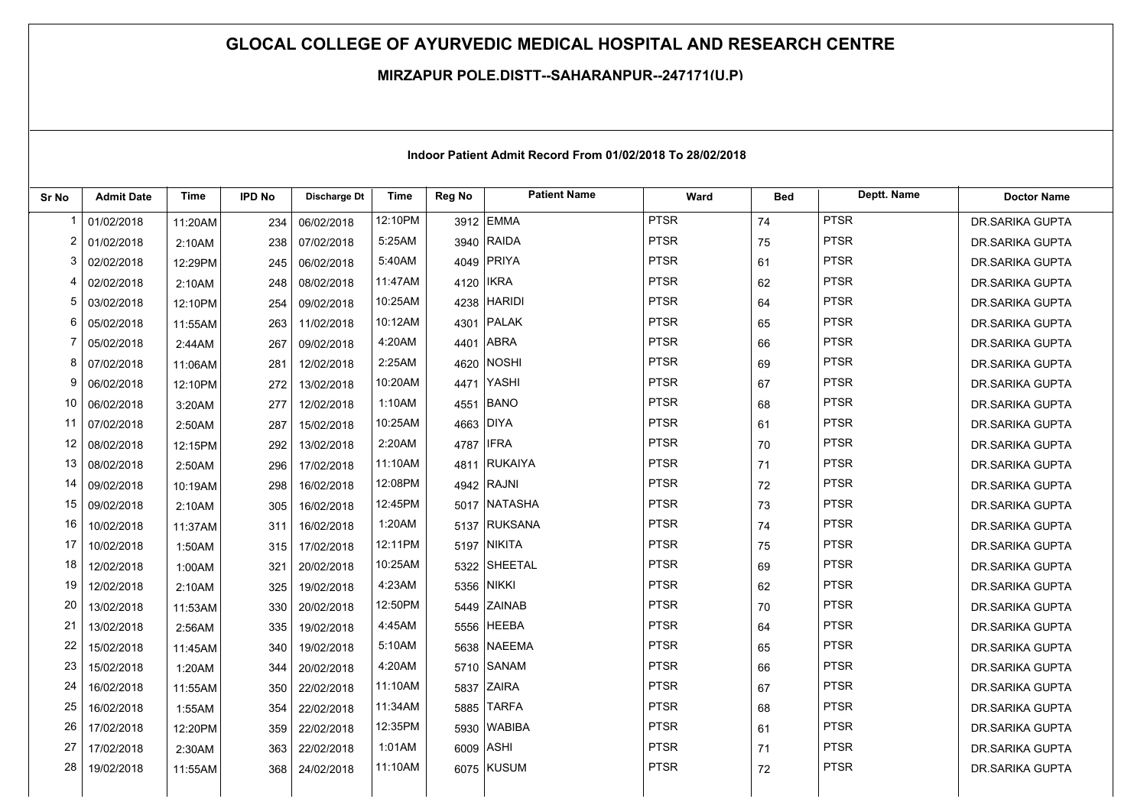## **GLOCAL COLLEGE OF AYURVEDIC MEDICAL HOSPITAL AND RESEARCH CENTRE**

## **MIRZAPUR POLE,DISTT--SAHARANPUR--247171(U.P)**

| Sr No          | <b>Admit Date</b> | <b>Time</b> | <b>IPD No</b> | Discharge Dt | <b>Time</b> | Reg No    | <b>Patient Name</b> | Ward        | <b>Bed</b> | Deptt. Name | <b>Doctor Name</b>     |
|----------------|-------------------|-------------|---------------|--------------|-------------|-----------|---------------------|-------------|------------|-------------|------------------------|
| $\mathbf 1$    | 01/02/2018        | 11:20AM     | 234           | 06/02/2018   | 12:10PM     |           | 3912 EMMA           | <b>PTSR</b> | 74         | <b>PTSR</b> | DR.SARIKA GUPTA        |
| $\overline{c}$ | 01/02/2018        | 2:10AM      | 238           | 07/02/2018   | 5:25AM      |           | 3940 RAIDA          | <b>PTSR</b> | 75         | <b>PTSR</b> | <b>DR.SARIKA GUPTA</b> |
| 3              | 02/02/2018        | 12:29PM     | 245           | 06/02/2018   | 5:40AM      |           | 4049 PRIYA          | <b>PTSR</b> | 61         | <b>PTSR</b> | DR.SARIKA GUPTA        |
| 4              | 02/02/2018        | 2:10AM      | 248           | 08/02/2018   | 11:47AM     | 4120 IKRA |                     | <b>PTSR</b> | 62         | <b>PTSR</b> | DR.SARIKA GUPTA        |
| 5              | 03/02/2018        | 12:10PM     | 254           | 09/02/2018   | 10:25AM     |           | 4238 HARIDI         | <b>PTSR</b> | 64         | <b>PTSR</b> | DR.SARIKA GUPTA        |
| 6              | 05/02/2018        | 11:55AM     | 263           | 11/02/2018   | 10:12AM     |           | 4301 PALAK          | <b>PTSR</b> | 65         | <b>PTSR</b> | DR.SARIKA GUPTA        |
| 7              | 05/02/2018        | 2:44AM      | 267           | 09/02/2018   | 4:20AM      |           | 4401 ABRA           | <b>PTSR</b> | 66         | <b>PTSR</b> | DR.SARIKA GUPTA        |
| 8              | 07/02/2018        | 11:06AM     | 281           | 12/02/2018   | 2:25AM      |           | 4620 NOSHI          | <b>PTSR</b> | 69         | <b>PTSR</b> | DR.SARIKA GUPTA        |
| 9              | 06/02/2018        | 12:10PM     | 272           | 13/02/2018   | 10:20AM     |           | 4471 YASHI          | <b>PTSR</b> | 67         | <b>PTSR</b> | DR.SARIKA GUPTA        |
| 10             | 06/02/2018        | 3:20AM      | 277           | 12/02/2018   | 1:10AM      |           | 4551 BANO           | <b>PTSR</b> | 68         | <b>PTSR</b> | <b>DR.SARIKA GUPTA</b> |
| 11             | 07/02/2018        | 2:50AM      | 287           | 15/02/2018   | 10:25AM     | 4663 DIYA |                     | <b>PTSR</b> | 61         | <b>PTSR</b> | DR.SARIKA GUPTA        |
| 12             | 08/02/2018        | 12:15PM     | 292           | 13/02/2018   | 2:20AM      | 4787 IFRA |                     | <b>PTSR</b> | 70         | <b>PTSR</b> | DR.SARIKA GUPTA        |
| 13             | 08/02/2018        | 2:50AM      | 296           | 17/02/2018   | 11:10AM     |           | 4811 RUKAIYA        | <b>PTSR</b> | 71         | <b>PTSR</b> | DR.SARIKA GUPTA        |
| 14             | 09/02/2018        | 10:19AM     | 298           | 16/02/2018   | 12:08PM     |           | 4942 RAJNI          | <b>PTSR</b> | 72         | <b>PTSR</b> | DR.SARIKA GUPTA        |
| 15             | 09/02/2018        | 2:10AM      | 305           | 16/02/2018   | 12:45PM     |           | 5017 NATASHA        | <b>PTSR</b> | 73         | <b>PTSR</b> | DR.SARIKA GUPTA        |
| 16             | 10/02/2018        | 11:37AM     | 311           | 16/02/2018   | 1:20AM      |           | 5137 RUKSANA        | <b>PTSR</b> | 74         | <b>PTSR</b> | DR.SARIKA GUPTA        |
| 17             | 10/02/2018        | 1:50AM      | 315           | 17/02/2018   | 12:11PM     |           | 5197 NIKITA         | <b>PTSR</b> | 75         | <b>PTSR</b> | DR.SARIKA GUPTA        |
| 18             | 12/02/2018        | 1:00AM      | 321           | 20/02/2018   | 10:25AM     |           | 5322 SHEETAL        | <b>PTSR</b> | 69         | <b>PTSR</b> | DR.SARIKA GUPTA        |
| 19             | 12/02/2018        | 2:10AM      | 325           | 19/02/2018   | 4:23AM      |           | 5356 NIKKI          | <b>PTSR</b> | 62         | <b>PTSR</b> | DR.SARIKA GUPTA        |
| 20             | 13/02/2018        | 11:53AM     | 330           | 20/02/2018   | 12:50PM     |           | 5449 ZAINAB         | <b>PTSR</b> | 70         | <b>PTSR</b> | DR.SARIKA GUPTA        |
| 21             | 13/02/2018        | 2:56AM      | 335           | 19/02/2018   | 4:45AM      |           | 5556 HEEBA          | <b>PTSR</b> | 64         | <b>PTSR</b> | DR.SARIKA GUPTA        |
| 22             | 15/02/2018        | 11:45AM     | 340           | 19/02/2018   | 5:10AM      |           | 5638 NAEEMA         | <b>PTSR</b> | 65         | <b>PTSR</b> | DR.SARIKA GUPTA        |
| 23             | 15/02/2018        | 1:20AM      | 344           | 20/02/2018   | 4:20AM      |           | 5710 SANAM          | <b>PTSR</b> | 66         | <b>PTSR</b> | DR.SARIKA GUPTA        |
| 24             | 16/02/2018        | 11:55AM     | 350           | 22/02/2018   | 11:10AM     |           | 5837 ZAIRA          | <b>PTSR</b> | 67         | <b>PTSR</b> | DR.SARIKA GUPTA        |
| 25             | 16/02/2018        | 1:55AM      | 354           | 22/02/2018   | 11:34AM     |           | 5885 TARFA          | <b>PTSR</b> | 68         | <b>PTSR</b> | DR.SARIKA GUPTA        |
| 26             | 17/02/2018        | 12:20PM     | 359           | 22/02/2018   | 12:35PM     |           | 5930 WABIBA         | <b>PTSR</b> | 61         | <b>PTSR</b> | DR.SARIKA GUPTA        |
| 27             | 17/02/2018        | 2:30AM      | 363           | 22/02/2018   | 1:01AM      | 6009 ASHI |                     | <b>PTSR</b> | 71         | <b>PTSR</b> | DR.SARIKA GUPTA        |
| 28             | 19/02/2018        | 11:55AM     | 368           | 24/02/2018   | 11:10AM     |           | 6075 KUSUM          | <b>PTSR</b> | 72         | <b>PTSR</b> | DR.SARIKA GUPTA        |